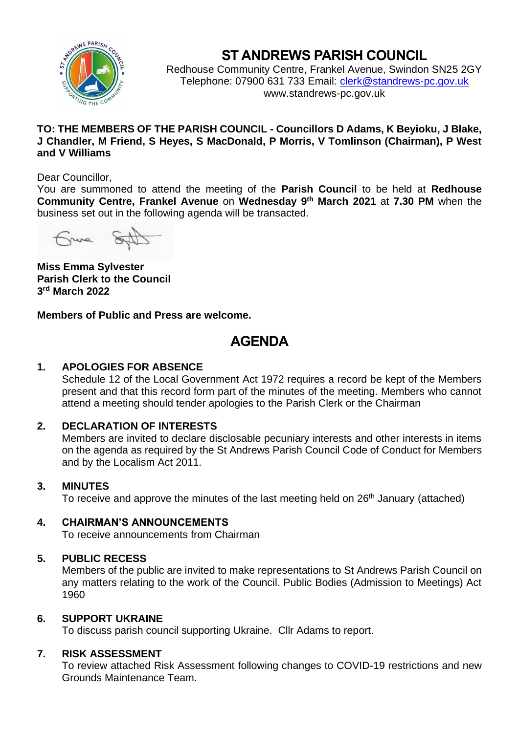

# **ST ANDREWS PARISH COUNCIL**

Redhouse Community Centre, Frankel Avenue, Swindon SN25 2GY Telephone: 07900 631 733 Email: [clerk@standrews-pc.gov.uk](mailto:clerk@standrews-pc.gov.uk) www.standrews-pc.gov.uk

## **TO: THE MEMBERS OF THE PARISH COUNCIL - Councillors D Adams, K Beyioku, J Blake, J Chandler, M Friend, S Heyes, S MacDonald, P Morris, V Tomlinson (Chairman), P West and V Williams**

## Dear Councillor,

You are summoned to attend the meeting of the **Parish Council** to be held at **Redhouse Community Centre, Frankel Avenue** on **Wednesday 9 th March 2021** at **7.30 PM** when the business set out in the following agenda will be transacted.

ning

**Miss Emma Sylvester Parish Clerk to the Council 3 rd March 2022**

**Members of Public and Press are welcome.** 

# **AGENDA**

## **1. APOLOGIES FOR ABSENCE**

Schedule 12 of the Local Government Act 1972 requires a record be kept of the Members present and that this record form part of the minutes of the meeting. Members who cannot attend a meeting should tender apologies to the Parish Clerk or the Chairman

## **2. DECLARATION OF INTERESTS**

Members are invited to declare disclosable pecuniary interests and other interests in items on the agenda as required by the St Andrews Parish Council Code of Conduct for Members and by the Localism Act 2011.

## **3. MINUTES**

To receive and approve the minutes of the last meeting held on 26<sup>th</sup> January (attached)

## **4. CHAIRMAN'S ANNOUNCEMENTS**

To receive announcements from Chairman

## **5. PUBLIC RECESS**

Members of the public are invited to make representations to St Andrews Parish Council on any matters relating to the work of the Council. Public Bodies (Admission to Meetings) Act 1960

## **6. SUPPORT UKRAINE**

To discuss parish council supporting Ukraine. Cllr Adams to report.

## **7. RISK ASSESSMENT**

To review attached Risk Assessment following changes to COVID-19 restrictions and new Grounds Maintenance Team.